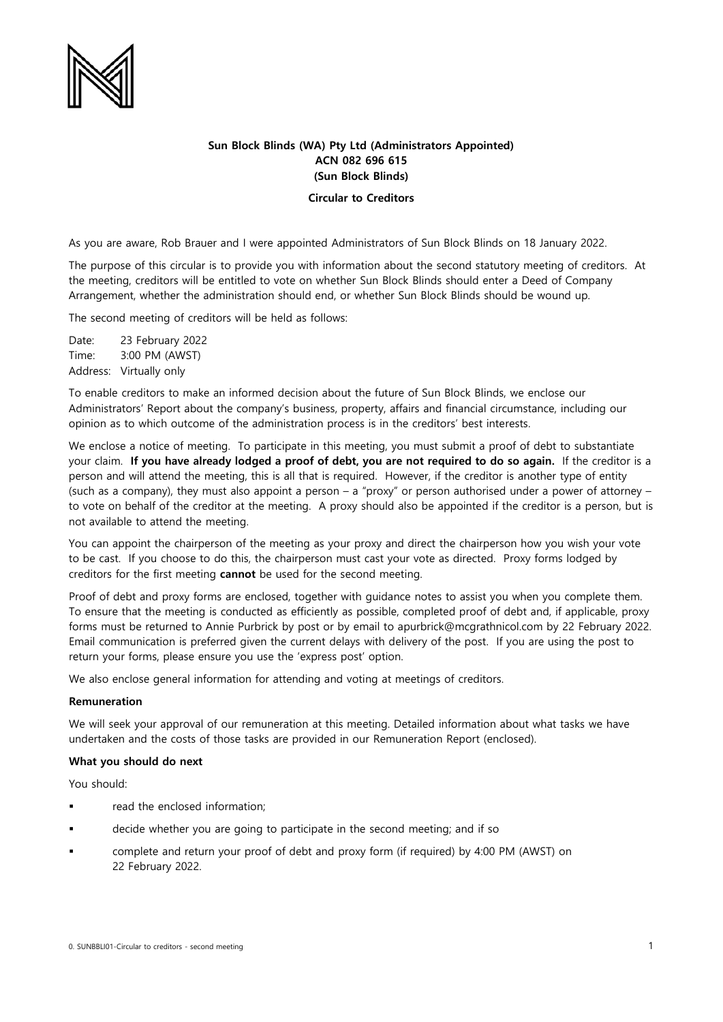

## **Sun Block Blinds (WA) Pty Ltd (Administrators Appointed) ACN 082 696 615 (Sun Block Blinds)**

## **Circular to Creditors**

As you are aware, Rob Brauer and I were appointed Administrators of Sun Block Blinds on 18 January 2022.

The purpose of this circular is to provide you with information about the second statutory meeting of creditors. At the meeting, creditors will be entitled to vote on whether Sun Block Blinds should enter a Deed of Company Arrangement, whether the administration should end, or whether Sun Block Blinds should be wound up.

The second meeting of creditors will be held as follows:

Date: 23 February 2022 Time: 3:00 PM (AWST) Address: Virtually only

To enable creditors to make an informed decision about the future of Sun Block Blinds, we enclose our Administrators' Report about the company's business, property, affairs and financial circumstance, including our opinion as to which outcome of the administration process is in the creditors' best interests.

We enclose a notice of meeting. To participate in this meeting, you must submit a proof of debt to substantiate your claim. **If you have already lodged a proof of debt, you are not required to do so again.** If the creditor is a person and will attend the meeting, this is all that is required. However, if the creditor is another type of entity (such as a company), they must also appoint a person – a "proxy" or person authorised under a power of attorney – to vote on behalf of the creditor at the meeting. A proxy should also be appointed if the creditor is a person, but is not available to attend the meeting.

You can appoint the chairperson of the meeting as your proxy and direct the chairperson how you wish your vote to be cast. If you choose to do this, the chairperson must cast your vote as directed. Proxy forms lodged by creditors for the first meeting **cannot** be used for the second meeting.

Proof of debt and proxy forms are enclosed, together with guidance notes to assist you when you complete them. To ensure that the meeting is conducted as efficiently as possible, completed proof of debt and, if applicable, proxy forms must be returned to Annie Purbrick by post or by email to apurbrick@mcgrathnicol.com by 22 February 2022. Email communication is preferred given the current delays with delivery of the post. If you are using the post to return your forms, please ensure you use the 'express post' option.

We also enclose general information for attending and voting at meetings of creditors.

## **Remuneration**

We will seek your approval of our remuneration at this meeting. Detailed information about what tasks we have undertaken and the costs of those tasks are provided in our Remuneration Report (enclosed).

## **What you should do next**

You should:

- read the enclosed information;
- decide whether you are going to participate in the second meeting; and if so
- complete and return your proof of debt and proxy form (if required) by 4:00 PM (AWST) on 22 February 2022.